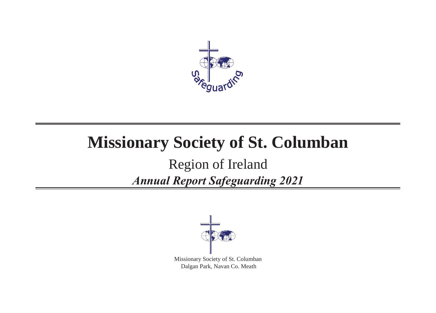

## **Missionary Society of St. Columban**

## Region of Ireland *Annual Report Safeguarding 2021*



Missionary Society of St. Columban Dalgan Park, Navan Co. Meath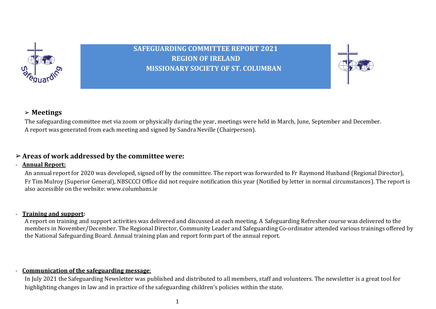

**SAFEGUARDING COMMITTEE REPORT 2021 REGION OF IRELAND MISSIONARY SOCIETY OF ST. COLUMBAN**



#### ➢ **Meetings**

The safeguarding committee met via zoom or physically during the year, meetings were held in March, June, September and December. A report was generated from each meeting and signed by Sandra Neville (Chairperson).

#### ➢**Areas of work addressed by the committee were:**

#### - **Annual Report:**

An annual report for 2020 was developed, signed off by the committee. The report was forwarded to Fr Raymond Husband (Regional Director), Fr Tim Mulroy (Superior General), NBSCCCI Office did not require notification this year (Notified by letter in normal circumstances). The report is also accessible on the website: www.columbans.ie

#### - **Training and support:**

A report on training and support activities was delivered and discussed at each meeting. A Safeguarding Refresher course was delivered to the members in November/December. The Regional Director, Community Leader and Safeguarding Co-ordinator attended various trainings offered by the National Safeguarding Board. Annual training plan and report form part of the annual report.

#### - **Communication of the safeguarding message**:

In July 2021 the Safeguarding Newsletter was published and distributed to all members, staff and volunteers. The newsletter is a great tool for highlighting changes in law and in practice of the safeguarding children's policies within the state.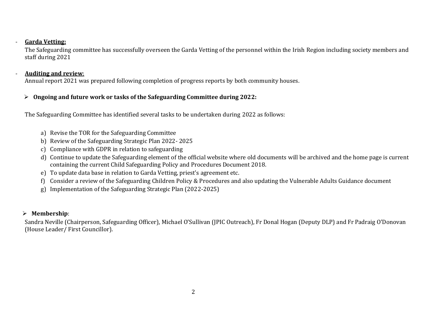#### - **Garda Vetting:**

The Safeguarding committee has successfully overseen the Garda Vetting of the personnel within the Irish Region including society members and staff during 2021

#### - **Auditing and review**:

Annual report 2021 was prepared following completion of progress reports by both community houses.

#### ➢ **Ongoing and future work or tasks of the Safeguarding Committee during 2022:**

The Safeguarding Committee has identified several tasks to be undertaken during 2022 as follows:

- a) Revise the TOR for the Safeguarding Committee
- b) Review of the Safeguarding Strategic Plan 2022- 2025
- c) Compliance with GDPR in relation to safeguarding
- d) Continue to update the Safeguarding element of the official website where old documents will be archived and the home page is current containing the current Child Safeguarding Policy and Procedures Document 2018.
- e) To update data base in relation to Garda Vetting, priest's agreement etc.
- f) Consider a review of the Safeguarding Children Policy & Procedures and also updating the Vulnerable Adults Guidance document
- g) Implementation of the Safeguarding Strategic Plan (2022-2025)

#### ➢ **Membership**:

Sandra Neville (Chairperson, Safeguarding Officer), Michael O'Sullivan (JPIC Outreach), Fr Donal Hogan (Deputy DLP) and Fr Padraig O'Donovan (House Leader/ First Councillor).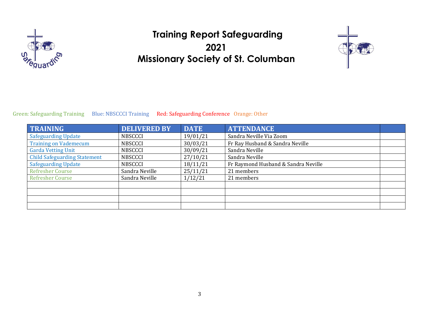

### **Training Report Safeguarding 2021 Missionary Society of St. Columban**



#### Green: Safeguarding Training Blue: NBSCCCI Training Red: Safeguarding Conference Orange: Other

| TRAINING                            | <b>DELIVERED BY</b> | <b>DATE</b> | <b>ATTENDANCE</b>                   |  |
|-------------------------------------|---------------------|-------------|-------------------------------------|--|
| <b>Safeguarding Update</b>          | <b>NBSCCCI</b>      | 19/01/21    | Sandra Neville Via Zoom             |  |
| <b>Training on Vademecum</b>        | <b>NBSCCCI</b>      | 30/03/21    | Fr Ray Husband & Sandra Neville     |  |
| <b>Garda Vetting Unit</b>           | <b>NBSCCCI</b>      | 30/09/21    | Sandra Neville                      |  |
| <b>Child Safeguarding Statement</b> | <b>NBSCCCI</b>      | 27/10/21    | Sandra Neville                      |  |
| <b>Safeguarding Update</b>          | <b>NBSCCCI</b>      | 18/11/21    | Fr Raymond Husband & Sandra Neville |  |
| <b>Refresher Course</b>             | Sandra Neville      | 25/11/21    | 21 members                          |  |
| <b>Refresher Course</b>             | Sandra Neville      | 1/12/21     | 21 members                          |  |
|                                     |                     |             |                                     |  |
|                                     |                     |             |                                     |  |
|                                     |                     |             |                                     |  |
|                                     |                     |             |                                     |  |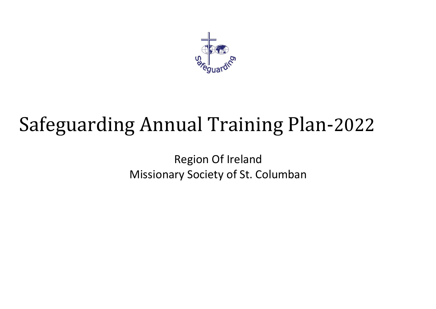

# Safeguarding Annual Training Plan-2022

Region Of Ireland Missionary Society of St. Columban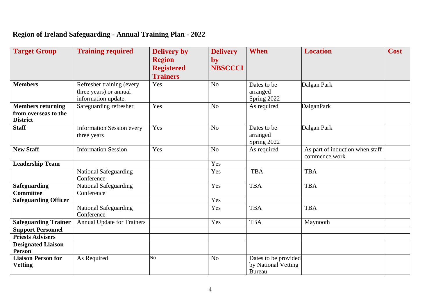### **Region of Ireland Safeguarding - Annual Training Plan - 2022**

| <b>Target Group</b>                                                 | <b>Training required</b>                                                   | <b>Delivery by</b><br><b>Region</b><br><b>Registered</b><br><b>Trainers</b> | <b>Delivery</b><br>by<br><b>NBSCCCI</b> | <b>When</b>                                                  | <b>Location</b>                                  | <b>Cost</b> |
|---------------------------------------------------------------------|----------------------------------------------------------------------------|-----------------------------------------------------------------------------|-----------------------------------------|--------------------------------------------------------------|--------------------------------------------------|-------------|
| <b>Members</b>                                                      | Refresher training (every<br>three years) or annual<br>information update. | Yes                                                                         | N <sub>o</sub>                          | Dates to be<br>arranged<br>Spring 2022                       | Dalgan Park                                      |             |
| <b>Members returning</b><br>from overseas to the<br><b>District</b> | Safeguarding refresher                                                     | Yes                                                                         | N <sub>o</sub>                          | As required                                                  | <b>DalganPark</b>                                |             |
| <b>Staff</b>                                                        | <b>Information Session every</b><br>three years                            | Yes                                                                         | N <sub>o</sub>                          | Dates to be<br>arranged<br>Spring 2022                       | Dalgan Park                                      |             |
| <b>New Staff</b>                                                    | <b>Information Session</b>                                                 | Yes                                                                         | N <sub>o</sub>                          | As required                                                  | As part of induction when staff<br>commence work |             |
| <b>Leadership Team</b>                                              |                                                                            |                                                                             | Yes                                     |                                                              |                                                  |             |
|                                                                     | <b>National Safeguarding</b><br>Conference                                 |                                                                             | Yes                                     | <b>TBA</b>                                                   | <b>TBA</b>                                       |             |
| <b>Safeguarding</b><br><b>Committee</b>                             | <b>National Safeguarding</b><br>Conference                                 |                                                                             | Yes                                     | <b>TBA</b>                                                   | <b>TBA</b>                                       |             |
| <b>Safeguarding Officer</b>                                         |                                                                            |                                                                             | Yes                                     |                                                              |                                                  |             |
|                                                                     | <b>National Safeguarding</b><br>Conference                                 |                                                                             | Yes                                     | <b>TBA</b>                                                   | <b>TBA</b>                                       |             |
| <b>Safeguarding Trainer</b>                                         | <b>Annual Update for Trainers</b>                                          |                                                                             | Yes                                     | <b>TBA</b>                                                   | Maynooth                                         |             |
| <b>Support Personnel</b>                                            |                                                                            |                                                                             |                                         |                                                              |                                                  |             |
| <b>Priests Advisers</b>                                             |                                                                            |                                                                             |                                         |                                                              |                                                  |             |
| <b>Designated Liaison</b><br><b>Person</b>                          |                                                                            |                                                                             |                                         |                                                              |                                                  |             |
| <b>Liaison Person for</b><br><b>Vetting</b>                         | As Required                                                                | No                                                                          | N <sub>o</sub>                          | Dates to be provided<br>by National Vetting<br><b>Bureau</b> |                                                  |             |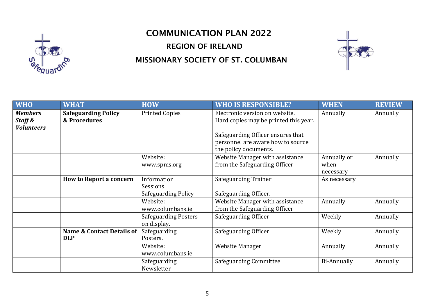

## COMMUNICATION PLAN 2022 REGION OF IRELAND MISSIONARY SOCIETY OF ST. COLUMBAN



| <b>WHO</b>                                     | <b>WHAT</b>                                | <b>HOW</b>                                 | <b>WHO IS RESPONSIBLE?</b>                                                                                                                        | <b>WHEN</b>                      | <b>REVIEW</b> |
|------------------------------------------------|--------------------------------------------|--------------------------------------------|---------------------------------------------------------------------------------------------------------------------------------------------------|----------------------------------|---------------|
| <b>Members</b><br>Staff &<br><b>Volunteers</b> | <b>Safeguarding Policy</b><br>& Procedures | <b>Printed Copies</b>                      | Electronic version on website.<br>Hard copies may be printed this year.<br>Safeguarding Officer ensures that<br>personnel are aware how to source | Annually                         | Annually      |
|                                                |                                            |                                            | the policy documents.                                                                                                                             |                                  |               |
|                                                |                                            | Website:<br>www.spms.org                   | Website Manager with assistance<br>from the Safeguarding Officer                                                                                  | Annually or<br>when<br>necessary | Annually      |
|                                                | <b>How to Report a concern</b>             | Information<br>Sessions                    | Safeguarding Trainer                                                                                                                              | As necessary                     |               |
|                                                |                                            | Safeguarding Policy                        | Safeguarding Officer.                                                                                                                             |                                  |               |
|                                                |                                            | Website:<br>www.columbans.ie               | Website Manager with assistance<br>from the Safeguarding Officer                                                                                  | Annually                         | Annually      |
|                                                |                                            | <b>Safeguarding Posters</b><br>on display. | Safeguarding Officer                                                                                                                              | Weekly                           | Annually      |
|                                                | Name & Contact Details of<br><b>DLP</b>    | Safeguarding<br>Posters.                   | Safeguarding Officer                                                                                                                              | Weekly                           | Annually      |
|                                                |                                            | Website:<br>www.columbans.ie               | Website Manager                                                                                                                                   | Annually                         | Annually      |
|                                                |                                            | Safeguarding<br>Newsletter                 | <b>Safeguarding Committee</b>                                                                                                                     | Bi-Annually                      | Annually      |